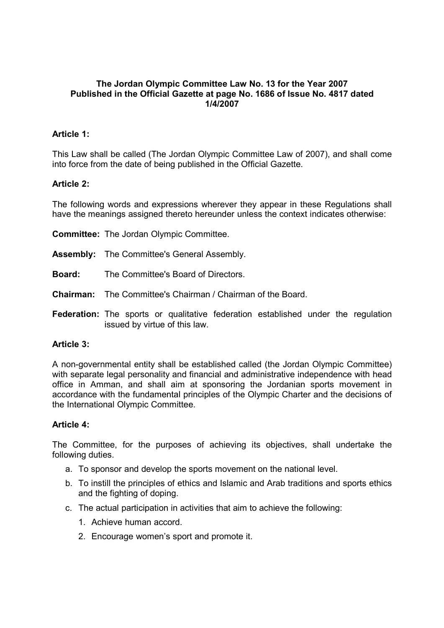#### **The Jordan Olympic Committee Law No. 13 for the Year 2007 Published in the Official Gazette at page No. 1686 of Issue No. 4817 dated 1/4/2007**

# **Article 1:**

This Law shall be called (The Jordan Olympic Committee Law of 2007), and shall come into force from the date of being published in the Official Gazette.

# **Article 2:**

The following words and expressions wherever they appear in these Regulations shall have the meanings assigned thereto hereunder unless the context indicates otherwise:

**Committee:** The Jordan Olympic Committee.

- **Assembly:** The Committee's General Assembly.
- **Board:** The Committee's Board of Directors.
- **Chairman:** The Committee's Chairman / Chairman of the Board.
- **Federation:** The sports or qualitative federation established under the regulation issued by virtue of this law.

#### **Article 3:**

A non-governmental entity shall be established called (the Jordan Olympic Committee) with separate legal personality and financial and administrative independence with head office in Amman, and shall aim at sponsoring the Jordanian sports movement in accordance with the fundamental principles of the Olympic Charter and the decisions of the International Olympic Committee.

#### **Article 4:**

The Committee, for the purposes of achieving its objectives, shall undertake the following duties.

- a. To sponsor and develop the sports movement on the national level.
- b. To instill the principles of ethics and Islamic and Arab traditions and sports ethics and the fighting of doping.
- c. The actual participation in activities that aim to achieve the following:
	- 1. Achieve human accord.
	- 2. Encourage women's sport and promote it.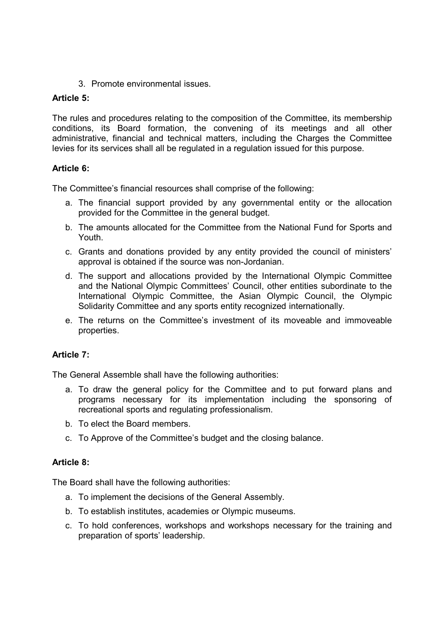3. Promote environmental issues.

# **Article 5:**

The rules and procedures relating to the composition of the Committee, its membership conditions, its Board formation, the convening of its meetings and all other administrative, financial and technical matters, including the Charges the Committee levies for its services shall all be regulated in a regulation issued for this purpose.

# **Article 6:**

The Committee's financial resources shall comprise of the following:

- a. The financial support provided by any governmental entity or the allocation provided for the Committee in the general budget.
- b. The amounts allocated for the Committee from the National Fund for Sports and Youth.
- c. Grants and donations provided by any entity provided the council of ministers' approval is obtained if the source was non-Jordanian.
- d. The support and allocations provided by the International Olympic Committee and the National Olympic Committees' Council, other entities subordinate to the International Olympic Committee, the Asian Olympic Council, the Olympic Solidarity Committee and any sports entity recognized internationally.
- e. The returns on the Committee's investment of its moveable and immoveable properties.

# **Article 7:**

The General Assemble shall have the following authorities:

- a. To draw the general policy for the Committee and to put forward plans and programs necessary for its implementation including the sponsoring of recreational sports and regulating professionalism.
- b. To elect the Board members.
- c. To Approve of the Committee's budget and the closing balance.

# **Article 8:**

The Board shall have the following authorities:

- a. To implement the decisions of the General Assembly.
- b. To establish institutes, academies or Olympic museums.
- c. To hold conferences, workshops and workshops necessary for the training and preparation of sports' leadership.